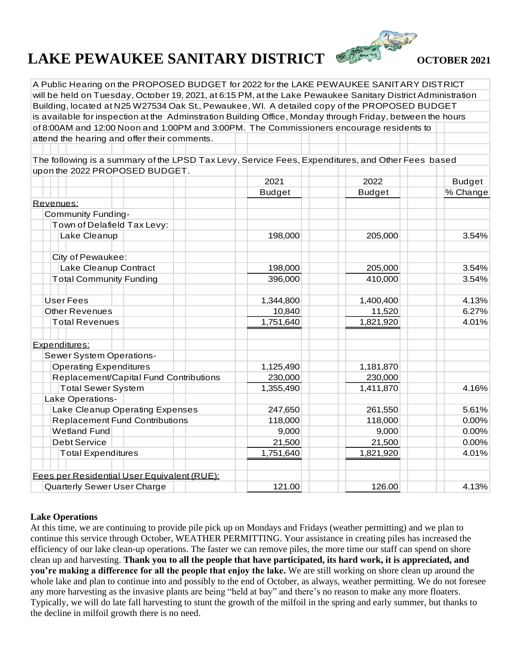## **LAKE PEWAUKEE SANITARY DISTRICT**  $\bullet$  **OCTOBER 2021**



A Public Hearing on the PROPOSED BUDGET for 2022 for the LAKE PEWAUKEE SANITARY DISTRICT will be held on Tuesday, October 19, 2021, at 6:15 PM, at the Lake Pewaukee Sanitary District Administration Building, located at N25 W27534 Oak St., Pewaukee, WI. A detailed copy of the PROPOSED BUDGET is available for inspection at the Adminstration Building Office, Monday through Friday, between the hours of 8:00AM and 12:00 Noon and 1:00PM and 3:00PM. The Commissioners encourage residents to attend the hearing and offer their comments.

The following is a summary of the LPSD Tax Levy, Service Fees, Expenditures, and Other Fees based upon the 2022 PROPOSED BUDGET.

| 2021          | 2022          | <b>Budget</b> |
|---------------|---------------|---------------|
| <b>Budget</b> | <b>Budget</b> | % Change      |
|               |               |               |
|               |               |               |
|               |               |               |
| 198,000       | 205,000       | 3.54%         |
|               |               |               |
| 198,000       | 205,000       | 3.54%         |
| 396,000       | 410,000       | 3.54%         |
| 1,344,800     | 1,400,400     | 4.13%         |
| 10,840        | 11,520        | 6.27%         |
| 1,751,640     | 1,821,920     | 4.01%         |
|               |               |               |
|               |               |               |
| 1,125,490     | 1,181,870     |               |
| 230,000       | 230,000       |               |
| 1,355,490     | 1,411,870     | 4.16%         |
|               |               |               |
| 247,650       | 261,550       | 5.61%         |
| 118,000       | 118,000       | 0.00%         |
| 9,000         | 9,000         | 0.00%         |
| 21,500        | 21,500        | 0.00%         |
| 1,751,640     | 1,821,920     | 4.01%         |
|               |               |               |
| 121.00        | 126.00        | 4.13%         |
|               |               |               |

## **Lake Operations**

At this time, we are continuing to provide pile pick up on Mondays and Fridays (weather permitting) and we plan to continue this service through October, WEATHER PERMITTING. Your assistance in creating piles has increased the efficiency of our lake clean-up operations. The faster we can remove piles, the more time our staff can spend on shore clean up and harvesting. **Thank you to all the people that have participated, its hard work, it is appreciated, and you're making a difference for all the people that enjoy the lake.** We are still working on shore clean up around the whole lake and plan to continue into and possibly to the end of October, as always, weather permitting. We do not foresee any more harvesting as the invasive plants are being "held at bay" and there's no reason to make any more floaters. Typically, we will do late fall harvesting to stunt the growth of the milfoil in the spring and early summer, but thanks to the decline in milfoil growth there is no need.